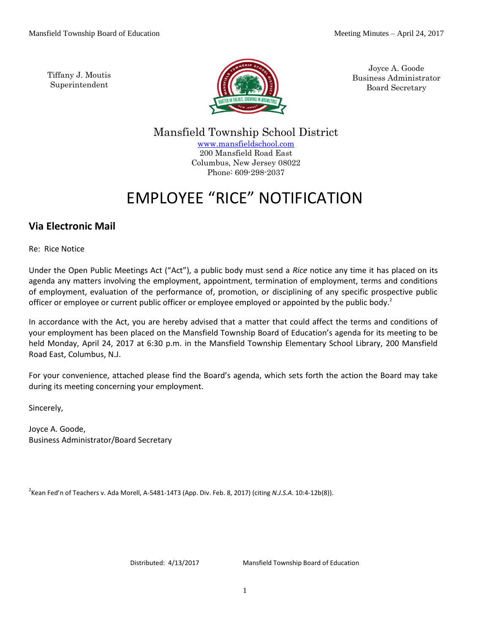Tiffany J. Moutis Superintendent



Joyce A. Goode Business Administrator Board Secretary

Mansfield Township School District [www.mansfieldschool.com](http://www.mansfieldschool.com/) 200 Mansfield Road East Columbus, New Jersey 08022

# EMPLOYEE "RICE" NOTIFICATION

Phone: 609-298-2037

# **Via Electronic Mail**

Re: Rice Notice

Under the Open Public Meetings Act ("Act"), a public body must send a *Rice* notice any time it has placed on its agenda any matters involving the employment, appointment, termination of employment, terms and conditions of employment, evaluation of the performance of, promotion, or disciplining of any specific prospective public officer or employee or current public officer or employee employed or appointed by the public body.<sup>2</sup>

In accordance with the Act, you are hereby advised that a matter that could affect the terms and conditions of your employment has been placed on the Mansfield Township Board of Education's agenda for its meeting to be held Monday, April 24, 2017 at 6:30 p.m. in the Mansfield Township Elementary School Library, 200 Mansfield Road East, Columbus, N.J.

For your convenience, attached please find the Board's agenda, which sets forth the action the Board may take during its meeting concerning your employment.

Sincerely,

Joyce A. Goode, Business Administrator/Board Secretary

2 Kean Fed'n of Teachers v. Ada Morell, A-5481-14T3 (App. Div. Feb. 8, 2017) (citing *N.J.S.A*. 10:4-12b(8)).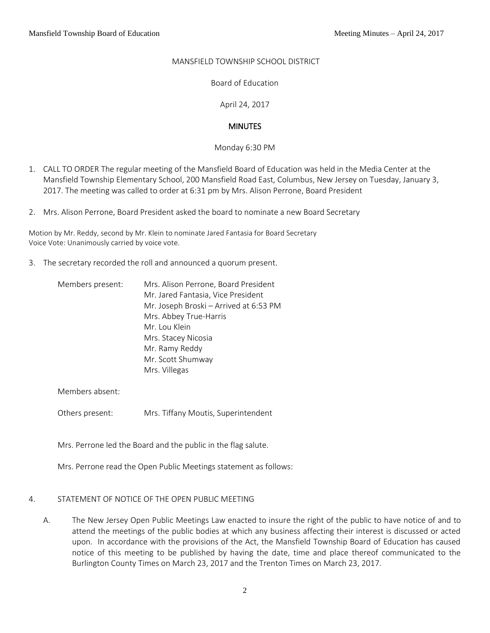# MANSFIELD TOWNSHIP SCHOOL DISTRICT

Board of Education

April 24, 2017

# **MINUTES**

Monday 6:30 PM

- 1. CALL TO ORDER The regular meeting of the Mansfield Board of Education was held in the Media Center at the Mansfield Township Elementary School, 200 Mansfield Road East, Columbus, New Jersey on Tuesday, January 3, 2017. The meeting was called to order at 6:31 pm by Mrs. Alison Perrone, Board President
- 2. Mrs. Alison Perrone, Board President asked the board to nominate a new Board Secretary

Motion by Mr. Reddy, second by Mr. Klein to nominate Jared Fantasia for Board Secretary Voice Vote: Unanimously carried by voice vote.

3. The secretary recorded the roll and announced a quorum present.

| Members present: | Mrs. Alison Perrone, Board President   |
|------------------|----------------------------------------|
|                  | Mr. Jared Fantasia, Vice President     |
|                  | Mr. Joseph Broski - Arrived at 6:53 PM |
|                  | Mrs. Abbey True-Harris                 |
|                  | Mr. Lou Klein                          |
|                  | Mrs. Stacey Nicosia                    |
|                  | Mr. Ramy Reddy                         |
|                  | Mr. Scott Shumway                      |
|                  | Mrs. Villegas                          |

Members absent:

Others present: Mrs. Tiffany Moutis, Superintendent

Mrs. Perrone led the Board and the public in the flag salute.

Mrs. Perrone read the Open Public Meetings statement as follows:

#### 4. STATEMENT OF NOTICE OF THE OPEN PUBLIC MEETING

A. The New Jersey Open Public Meetings Law enacted to insure the right of the public to have notice of and to attend the meetings of the public bodies at which any business affecting their interest is discussed or acted upon. In accordance with the provisions of the Act, the Mansfield Township Board of Education has caused notice of this meeting to be published by having the date, time and place thereof communicated to the Burlington County Times on March 23, 2017 and the Trenton Times on March 23, 2017.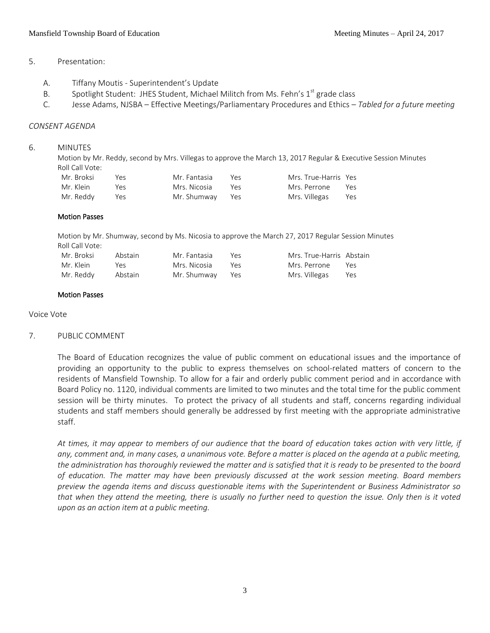## 5. Presentation:

- A. Tiffany Moutis Superintendent's Update
- B. Spotlight Student: JHES Student, Michael Militch from Ms. Fehn's  $1<sup>st</sup>$  grade class
- C. Jesse Adams, NJSBA Effective Meetings/Parliamentary Procedures and Ethics *Tabled for a future meeting*

#### *CONSENT AGENDA*

#### 6. MINUTES

Motion by Mr. Reddy, second by Mrs. Villegas to approve the March 13, 2017 Regular & Executive Session Minutes Roll Call Vote:

| Mr. Broksi | Yes. | Mr. Fantasia    | Yρς | Mrs. True-Harris Yes |     |
|------------|------|-----------------|-----|----------------------|-----|
| Mr. Klein  | Ύρς  | Mrs. Nicosia    | Yes | Mrs. Perrone         | Yes |
| Mr. Reddv  | Yes  | Mr. Shumway Yes |     | Mrs. Villegas        | Yes |

#### Motion Passes

Motion by Mr. Shumway, second by Ms. Nicosia to approve the March 27, 2017 Regular Session Minutes Roll Call Vote:

| Mr. Broksi | Abstain | Mr. Fantasia    | Yes | Mrs. True-Harris Abstain |     |
|------------|---------|-----------------|-----|--------------------------|-----|
| Mr. Klein  | Υеς     | Mrs. Nicosia    | Yes | Mrs. Perrone             | Yes |
| Mr. Reddy  | Abstain | Mr. Shumway Yes |     | Mrs. Villegas            | Yes |

#### Motion Passes

Voice Vote

#### 7. PUBLIC COMMENT

The Board of Education recognizes the value of public comment on educational issues and the importance of providing an opportunity to the public to express themselves on school-related matters of concern to the residents of Mansfield Township. To allow for a fair and orderly public comment period and in accordance with Board Policy no. 1120, individual comments are limited to two minutes and the total time for the public comment session will be thirty minutes. To protect the privacy of all students and staff, concerns regarding individual students and staff members should generally be addressed by first meeting with the appropriate administrative staff.

*At times, it may appear to members of our audience that the board of education takes action with very little, if any, comment and, in many cases, a unanimous vote. Before a matter is placed on the agenda at a public meeting, the administration has thoroughly reviewed the matter and is satisfied that it is ready to be presented to the board of education. The matter may have been previously discussed at the work session meeting. Board members preview the agenda items and discuss questionable items with the Superintendent or Business Administrator so that when they attend the meeting, there is usually no further need to question the issue. Only then is it voted upon as an action item at a public meeting.*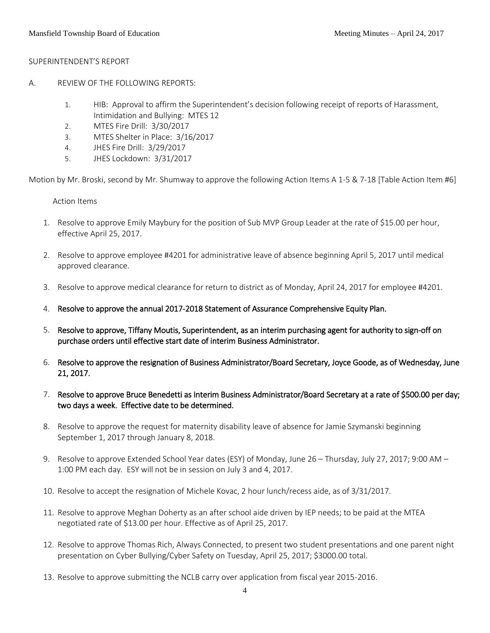#### SUPERINTENDENT'S REPORT

- A. REVIEW OF THE FOLLOWING REPORTS:
	- 1. HIB: Approval to affirm the Superintendent's decision following receipt of reports of Harassment, Intimidation and Bullying: MTES 12
	- 2. MTES Fire Drill: 3/30/2017
	- 3. MTES Shelter in Place: 3/16/2017
	- 4. JHES Fire Drill: 3/29/2017
	- 5. JHES Lockdown: 3/31/2017

Motion by Mr. Broski, second by Mr. Shumway to approve the following Action Items A 1-5 & 7-18 [Table Action Item #6]

Action Items

- 1. Resolve to approve Emily Maybury for the position of Sub MVP Group Leader at the rate of \$15.00 per hour, effective April 25, 2017.
- 2. Resolve to approve employee #4201 for administrative leave of absence beginning April 5, 2017 until medical approved clearance.
- 3. Resolve to approve medical clearance for return to district as of Monday, April 24, 2017 for employee #4201.
- 4. Resolve to approve the annual 2017-2018 Statement of Assurance Comprehensive Equity Plan.
- 5. Resolve to approve, Tiffany Moutis, Superintendent, as an interim purchasing agent for authority to sign-off on purchase orders until effective start date of interim Business Administrator.
- 6. Resolve to approve the resignation of Business Administrator/Board Secretary, Joyce Goode, as of Wednesday, June 21, 2017.
- 7. Resolve to approve Bruce Benedetti as Interim Business Administrator/Board Secretary at a rate of \$500.00 per day; two days a week. Effective date to be determined.
- 8. Resolve to approve the request for maternity disability leave of absence for Jamie Szymanski beginning September 1, 2017 through January 8, 2018.
- 9. Resolve to approve Extended School Year dates (ESY) of Monday, June 26 Thursday, July 27, 2017; 9:00 AM 1:00 PM each day. ESY will not be in session on July 3 and 4, 2017.
- 10. Resolve to accept the resignation of Michele Kovac, 2 hour lunch/recess aide, as of 3/31/2017.
- 11. Resolve to approve Meghan Doherty as an after school aide driven by IEP needs; to be paid at the MTEA negotiated rate of \$13.00 per hour. Effective as of April 25, 2017.
- 12. Resolve to approve Thomas Rich, Always Connected, to present two student presentations and one parent night presentation on Cyber Bullying/Cyber Safety on Tuesday, April 25, 2017; \$3000.00 total.
- 13. Resolve to approve submitting the NCLB carry over application from fiscal year 2015-2016.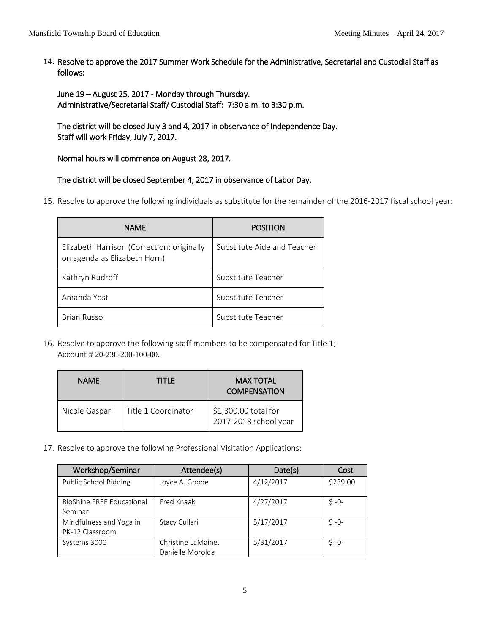14. Resolve to approve the 2017 Summer Work Schedule for the Administrative, Secretarial and Custodial Staff as follows:

June 19 – August 25, 2017 - Monday through Thursday. Administrative/Secretarial Staff/ Custodial Staff: 7:30 a.m. to 3:30 p.m.

The district will be closed July 3 and 4, 2017 in observance of Independence Day. Staff will work Friday, July 7, 2017.

Normal hours will commence on August 28, 2017.

# The district will be closed September 4, 2017 in observance of Labor Day.

15. Resolve to approve the following individuals as substitute for the remainder of the 2016-2017 fiscal school year:

| <b>NAME</b>                                                                | <b>POSITION</b>             |
|----------------------------------------------------------------------------|-----------------------------|
| Elizabeth Harrison (Correction: originally<br>on agenda as Elizabeth Horn) | Substitute Aide and Teacher |
| Kathryn Rudroff                                                            | Substitute Teacher          |
| Amanda Yost                                                                | Substitute Teacher          |
| <b>Brian Russo</b>                                                         | Substitute Teacher          |

16. Resolve to approve the following staff members to be compensated for Title 1; Account # 20-236-200-100-00.

| <b>NAME</b>    | TITLE               | <b>MAX TOTAL</b><br><b>COMPENSATION</b>       |
|----------------|---------------------|-----------------------------------------------|
| Nicole Gaspari | Title 1 Coordinator | \$1,300.00 total for<br>2017-2018 school year |

17. Resolve to approve the following Professional Visitation Applications:

| Workshop/Seminar                           | Attendee(s)                            | Date(s)   | Cost      |
|--------------------------------------------|----------------------------------------|-----------|-----------|
| Public School Bidding                      | Joyce A. Goode                         | 4/12/2017 | \$239.00  |
| BioShine FREE Educational<br>Seminar       | Fred Knaak                             | 4/27/2017 | $S - 0 -$ |
| Mindfulness and Yoga in<br>PK-12 Classroom | Stacy Cullari                          | 5/17/2017 | $5 - 0 -$ |
| Systems 3000                               | Christine LaMaine,<br>Danielle Morolda | 5/31/2017 | $S - 0 -$ |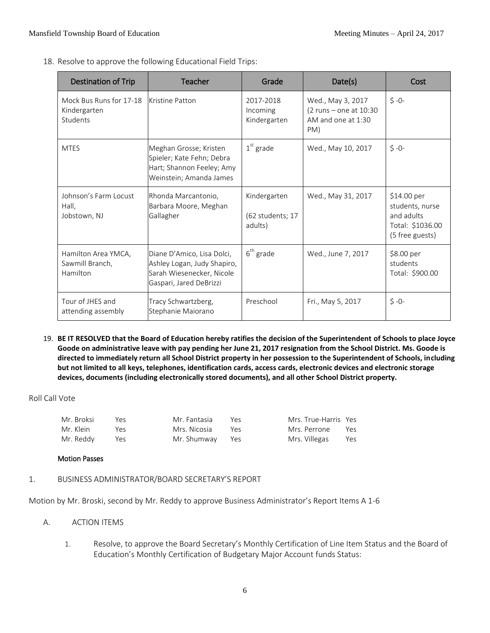18. Resolve to approve the following Educational Field Trips:

| <b>Destination of Trip</b>                          | Teacher                                                                                                           | Grade                                       | Date(s)                                                                  | Cost                                                                                |
|-----------------------------------------------------|-------------------------------------------------------------------------------------------------------------------|---------------------------------------------|--------------------------------------------------------------------------|-------------------------------------------------------------------------------------|
| Mock Bus Runs for 17-18<br>Kindergarten<br>Students | Kristine Patton                                                                                                   | 2017-2018<br>Incoming<br>Kindergarten       | Wed., May 3, 2017<br>(2 runs - one at 10:30<br>AM and one at 1:30<br>PM) | $$ -0-$                                                                             |
| <b>MTES</b>                                         | Meghan Grosse; Kristen<br>Spieler; Kate Fehn; Debra<br>Hart; Shannon Feeley; Amy<br>Weinstein; Amanda James       | $1st$ grade                                 | Wed., May 10, 2017                                                       | $$ -0-$                                                                             |
| Johnson's Farm Locust<br>Hall,<br>Jobstown, NJ      | Rhonda Marcantonio,<br>Barbara Moore, Meghan<br>Gallagher                                                         | Kindergarten<br>(62 students; 17<br>adults) | Wed., May 31, 2017                                                       | \$14.00 per<br>students, nurse<br>and adults<br>Total: \$1036.00<br>(5 free guests) |
| Hamilton Area YMCA,<br>Sawmill Branch.<br>Hamilton  | Diane D'Amico, Lisa Dolci,<br>Ashley Logan, Judy Shapiro,<br>Sarah Wiesenecker, Nicole<br>Gaspari, Jared DeBrizzi | $6th$ grade                                 | Wed., June 7, 2017                                                       | \$8.00 per<br>students<br>Total: \$900.00                                           |
| Tour of JHES and<br>attending assembly              | Tracy Schwartzberg,<br>Stephanie Maiorano                                                                         | Preschool                                   | Fri., May 5, 2017                                                        | $$ -0-$                                                                             |

19. **BE IT RESOLVED that the Board of Education hereby ratifies the decision of the Superintendent of Schools to place Joyce Goode on administrative leave with pay pending her June 21, 2017 resignation from the School District. Ms. Goode is directed to immediately return all School District property in her possession to the Superintendent of Schools, including but not limited to all keys, telephones, identification cards, access cards, electronic devices and electronic storage devices, documents (including electronically stored documents), and all other School District property.**

Roll Call Vote

| Mr. Broksi | Yes. | Mr. Fantasia    | Yρς | Mrs. True-Harris Yes |     |
|------------|------|-----------------|-----|----------------------|-----|
| Mr. Klein  | Yes. | Mrs. Nicosia    | Yρς | Mrs. Perrone         | Yes |
| Mr. Reddy  | Yes  | Mr. Shumway Yes |     | Mrs. Villegas        | Yes |

Motion Passes

1. BUSINESS ADMINISTRATOR/BOARD SECRETARY'S REPORT

Motion by Mr. Broski, second by Mr. Reddy to approve Business Administrator's Report Items A 1-6

- A. ACTION ITEMS
	- 1. Resolve, to approve the Board Secretary's Monthly Certification of Line Item Status and the Board of Education's Monthly Certification of Budgetary Major Account funds Status: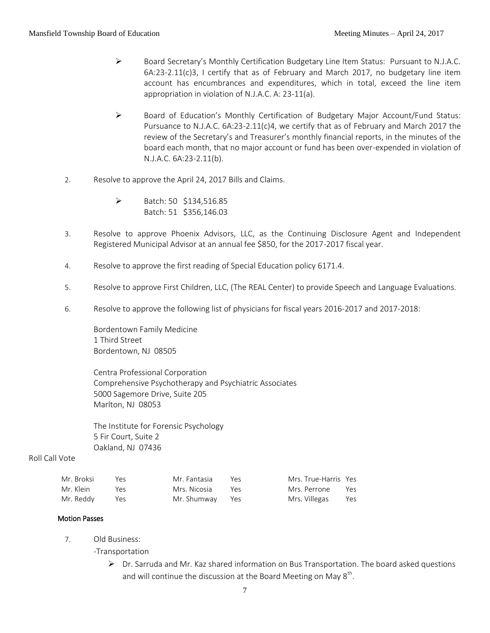- Board Secretary's Monthly Certification Budgetary Line Item Status: Pursuant to N.J.A.C.  $6A:23-2.11(c)3$ , I certify that as of February and March 2017, no budgetary line item account has encumbrances and expenditures, which in total, exceed the line item appropriation in violation of N.J.A.C. A: 23-11(a).
- $\triangleright$  Board of Education's Monthly Certification of Budgetary Major Account/Fund Status: Pursuance to N.J.A.C. 6A:23-2.11(c)4, we certify that as of February and March 2017 the review of the Secretary's and Treasurer's monthly financial reports, in the minutes of the board each month, that no major account or fund has been over-expended in violation of N.J.A.C. 6A:23-2.11(b).
- 2. Resolve to approve the April 24, 2017 Bills and Claims.
	- $\triangleright$  Batch: 50 \$134,516.85 Batch: 51 \$356,146.03
- 3. Resolve to approve Phoenix Advisors, LLC, as the Continuing Disclosure Agent and Independent Registered Municipal Advisor at an annual fee \$850, for the 2017-2017 fiscal year.
- 4. Resolve to approve the first reading of Special Education policy 6171.4.
- 5. Resolve to approve First Children, LLC, (The REAL Center) to provide Speech and Language Evaluations.
- 6. Resolve to approve the following list of physicians for fiscal years 2016-2017 and 2017-2018:

Bordentown Family Medicine 1 Third Street Bordentown, NJ 08505

Centra Professional Corporation Comprehensive Psychotherapy and Psychiatric Associates 5000 Sagemore Drive, Suite 205 Marlton, NJ 08053

The Institute for Forensic Psychology 5 Fir Court, Suite 2 Oakland, NJ 07436

#### Roll Call Vote

| Mr. Broksi | Yes. | Mr. Fantasia    | Yρς | Mrs. True-Harris Yes |  |
|------------|------|-----------------|-----|----------------------|--|
| Mr. Klein  | Yes  | Mrs. Nicosia    | Yes | Mrs. Perrone Yes     |  |
|            |      | Mr. Shumway Yes |     | Mrs. Villegas Yes    |  |

#### Motion Passes

- 7. Old Business:
	- -Transportation
		- $\triangleright$  Dr. Sarruda and Mr. Kaz shared information on Bus Transportation. The board asked questions and will continue the discussion at the Board Meeting on May  $8^{\text{th}}$ .